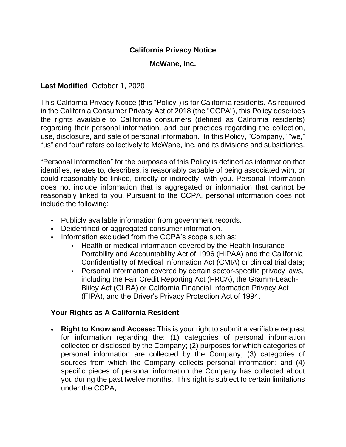## **California Privacy Notice**

#### **McWane, Inc.**

#### **Last Modified**: October 1, 2020

This California Privacy Notice (this "Policy") is for California residents. As required in the California Consumer Privacy Act of 2018 (the "CCPA"), this Policy describes the rights available to California consumers (defined as California residents) regarding their personal information, and our practices regarding the collection, use, disclosure, and sale of personal information. In this Policy, "Company," "we," "us" and "our" refers collectively to McWane, Inc. and its divisions and subsidiaries.

"Personal Information" for the purposes of this Policy is defined as information that identifies, relates to, describes, is reasonably capable of being associated with, or could reasonably be linked, directly or indirectly, with you. Personal Information does not include information that is aggregated or information that cannot be reasonably linked to you. Pursuant to the CCPA, personal information does not include the following:

- Publicly available information from government records.
- Deidentified or aggregated consumer information.
- **Information excluded from the CCPA's scope such as:** 
	- Health or medical information covered by the Health Insurance Portability and Accountability Act of 1996 (HIPAA) and the California Confidentiality of Medical Information Act (CMIA) or clinical trial data;
	- Personal information covered by certain sector-specific privacy laws, including the Fair Credit Reporting Act (FRCA), the Gramm-Leach-Bliley Act (GLBA) or California Financial Information Privacy Act (FIPA), and the Driver's Privacy Protection Act of 1994.

#### **Your Rights as A California Resident**

• **Right to Know and Access:** This is your right to submit a verifiable request for information regarding the: (1) categories of personal information collected or disclosed by the Company; (2) purposes for which categories of personal information are collected by the Company; (3) categories of sources from which the Company collects personal information; and (4) specific pieces of personal information the Company has collected about you during the past twelve months. This right is subject to certain limitations under the CCPA;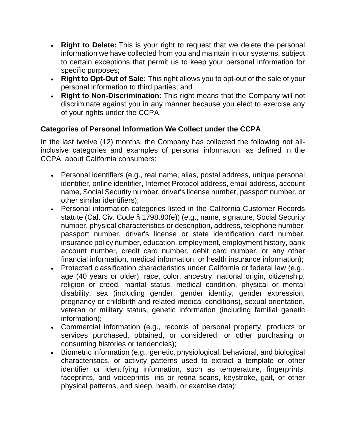- **Right to Delete:** This is your right to request that we delete the personal information we have collected from you and maintain in our systems, subject to certain exceptions that permit us to keep your personal information for specific purposes;
- **Right to Opt-Out of Sale:** This right allows you to opt-out of the sale of your personal information to third parties; and
- **Right to Non-Discrimination:** This right means that the Company will not discriminate against you in any manner because you elect to exercise any of your rights under the CCPA.

# **Categories of Personal Information We Collect under the CCPA**

In the last twelve (12) months, the Company has collected the following not allinclusive categories and examples of personal information, as defined in the CCPA, about California consumers:

- Personal identifiers (e.g., real name, alias, postal address, unique personal identifier, online identifier, Internet Protocol address, email address, account name, Social Security number, driver's license number, passport number, or other similar identifiers);
- Personal information categories listed in the California Customer Records statute (Cal. Civ. Code § 1798.80(e)) (e.g., name, signature, Social Security number, physical characteristics or description, address, telephone number, passport number, driver's license or state identification card number, insurance policy number, education, employment, employment history, bank account number, credit card number, debit card number, or any other financial information, medical information, or health insurance information);
- Protected classification characteristics under California or federal law (e.g., age (40 years or older), race, color, ancestry, national origin, citizenship, religion or creed, marital status, medical condition, physical or mental disability, sex (including gender, gender identity, gender expression, pregnancy or childbirth and related medical conditions), sexual orientation, veteran or military status, genetic information (including familial genetic information);
- Commercial information (e.g., records of personal property, products or services purchased, obtained, or considered, or other purchasing or consuming histories or tendencies);
- Biometric information (e.g., genetic, physiological, behavioral, and biological characteristics, or activity patterns used to extract a template or other identifier or identifying information, such as temperature, fingerprints, faceprints, and voiceprints, iris or retina scans, keystroke, gait, or other physical patterns, and sleep, health, or exercise data);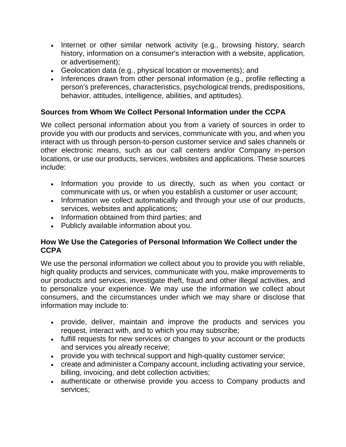- Internet or other similar network activity (e.g., browsing history, search history, information on a consumer's interaction with a website, application, or advertisement);
- Geolocation data (e.g., physical location or movements); and
- Inferences drawn from other personal information (e.g., profile reflecting a person's preferences, characteristics, psychological trends, predispositions, behavior, attitudes, intelligence, abilities, and aptitudes).

# **Sources from Whom We Collect Personal Information under the CCPA**

We collect personal information about you from a variety of sources in order to provide you with our products and services, communicate with you, and when you interact with us through person-to-person customer service and sales channels or other electronic means, such as our call centers and/or Company in-person locations, or use our products, services, websites and applications. These sources include:

- Information you provide to us directly, such as when you contact or communicate with us, or when you establish a customer or user account;
- Information we collect automatically and through your use of our products, services, websites and applications;
- Information obtained from third parties; and
- Publicly available information about you.

## **How We Use the Categories of Personal Information We Collect under the CCPA**

We use the personal information we collect about you to provide you with reliable, high quality products and services, communicate with you, make improvements to our products and services, investigate theft, fraud and other illegal activities, and to personalize your experience. We may use the information we collect about consumers, and the circumstances under which we may share or disclose that information may include to:

- provide, deliver, maintain and improve the products and services you request, interact with, and to which you may subscribe;
- fulfill requests for new services or changes to your account or the products and services you already receive;
- provide you with technical support and high-quality customer service;
- create and administer a Company account, including activating your service, billing, invoicing, and debt collection activities;
- authenticate or otherwise provide you access to Company products and services;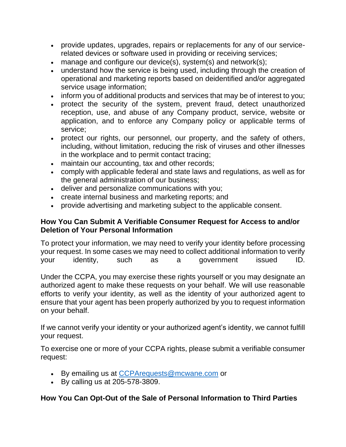- provide updates, upgrades, repairs or replacements for any of our servicerelated devices or software used in providing or receiving services;
- manage and configure our device(s), system(s) and network(s);
- understand how the service is being used, including through the creation of operational and marketing reports based on deidentified and/or aggregated service usage information;
- inform you of additional products and services that may be of interest to you;
- protect the security of the system, prevent fraud, detect unauthorized reception, use, and abuse of any Company product, service, website or application, and to enforce any Company policy or applicable terms of service;
- protect our rights, our personnel, our property, and the safety of others, including, without limitation, reducing the risk of viruses and other illnesses in the workplace and to permit contact tracing;
- maintain our accounting, tax and other records;
- comply with applicable federal and state laws and regulations, as well as for the general administration of our business;
- deliver and personalize communications with you;
- create internal business and marketing reports; and
- provide advertising and marketing subject to the applicable consent.

## **How You Can Submit A Verifiable Consumer Request for Access to and/or Deletion of Your Personal Information**

To protect your information, we may need to verify your identity before processing your request. In some cases we may need to collect additional information to verify your identity, such as a government issued ID.

Under the CCPA, you may exercise these rights yourself or you may designate an authorized agent to make these requests on your behalf. We will use reasonable efforts to verify your identity, as well as the identity of your authorized agent to ensure that your agent has been properly authorized by you to request information on your behalf.

If we cannot verify your identity or your authorized agent's identity, we cannot fulfill your request.

To exercise one or more of your CCPA rights, please submit a verifiable consumer request:

- By emailing us at [CCPArequests@mcwane.com](mailto:CCPArequests@mcwane.com) or
- By calling us at 205-578-3809.

# **How You Can Opt-Out of the Sale of Personal Information to Third Parties**